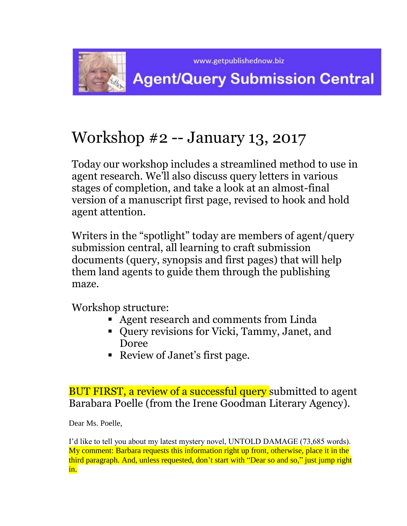

# Workshop #2 -- January 13, 2017

Today our workshop includes a streamlined method to use in agent research. We'll also discuss query letters in various stages of completion, and take a look at an almost-final version of a manuscript first page, revised to hook and hold agent attention.

Writers in the "spotlight" today are members of agent/query submission central, all learning to craft submission documents (query, synopsis and first pages) that will help them land agents to guide them through the publishing maze.

Workshop structure:

- Agent research and comments from Linda
- Query revisions for Vicki, Tammy, Janet, and Doree
- Review of Janet's first page.

BUT FIRST, a review of a successful query submitted to agent Barabara Poelle (from the Irene Goodman Literary Agency).

Dear Ms. Poelle,

I'd like to tell you about my latest mystery novel, UNTOLD DAMAGE (73,685 words). My comment: Barbara requests this information right up front, otherwise, place it in the third paragraph. And, unless requested, don't start with "Dear so and so," just jump right in.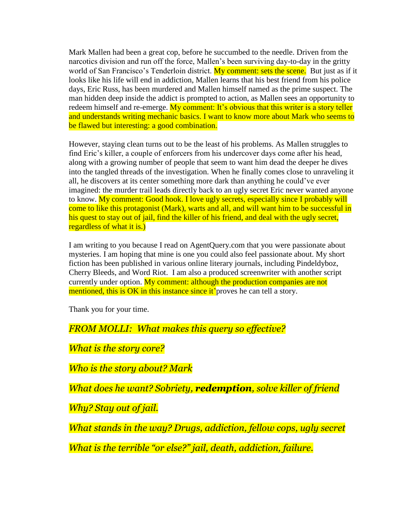Mark Mallen had been a great cop, before he succumbed to the needle. Driven from the narcotics division and run off the force, Mallen's been surviving day-to-day in the gritty world of San Francisco's Tenderloin district. My comment: sets the scene. But just as if it looks like his life will end in addiction, Mallen learns that his best friend from his police days, Eric Russ, has been murdered and Mallen himself named as the prime suspect. The man hidden deep inside the addict is prompted to action, as Mallen sees an opportunity to redeem himself and re-emerge. My comment: It's obvious that this writer is a story teller and understands writing mechanic basics. I want to know more about Mark who seems to be flawed but interesting: a good combination.

However, staying clean turns out to be the least of his problems. As Mallen struggles to find Eric's killer, a couple of enforcers from his undercover days come after his head, along with a growing number of people that seem to want him dead the deeper he dives into the tangled threads of the investigation. When he finally comes close to unraveling it all, he discovers at its center something more dark than anything he could've ever imagined: the murder trail leads directly back to an ugly secret Eric never wanted anyone to know. My comment: Good hook. I love ugly secrets, especially since I probably will come to like this protagonist (Mark), warts and all, and will want him to be successful in his quest to stay out of jail, find the killer of his friend, and deal with the ugly secret, regardless of what it is.)

I am writing to you because I read on AgentQuery.com that you were passionate about mysteries. I am hoping that mine is one you could also feel passionate about. My short fiction has been published in various online literary journals, including Pindeldyboz, Cherry Bleeds, and Word Riot. I am also a produced screenwriter with another script currently under option. My comment: although the production companies are not mentioned, this is OK in this instance since it<sup>'</sup> proves he can tell a story.

Thank you for your time.

*FROM MOLLI: What makes this query so effective?* 

*What is the story core?* 

*Who is the story about? Mark*

*What does he want? Sobriety, redemption, solve killer of friend*

*Why? Stay out of jail.* 

*What stands in the way? Drugs, addiction, fellow cops, ugly secret*

*What is the terrible "or else?" jail, death, addiction, failure.*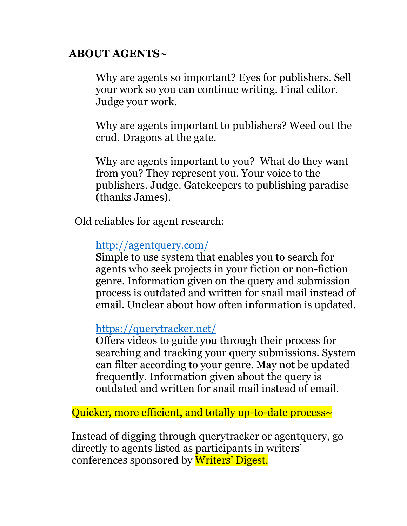# **ABOUT AGENTS~**

Why are agents so important? Eyes for publishers. Sell your work so you can continue writing. Final editor. Judge your work.

Why are agents important to publishers? Weed out the crud. Dragons at the gate.

Why are agents important to you? What do they want from you? They represent you. Your voice to the publishers. Judge. Gatekeepers to publishing paradise (thanks James).

Old reliables for agent research:

<http://agentquery.com/>

Simple to use system that enables you to search for agents who seek projects in your fiction or non-fiction genre. Information given on the query and submission process is outdated and written for snail mail instead of email. Unclear about how often information is updated.

<https://querytracker.net/>

Offers videos to guide you through their process for searching and tracking your query submissions. System can filter according to your genre. May not be updated frequently. Information given about the query is outdated and written for snail mail instead of email.

Quicker, more efficient, and totally up-to-date process~

Instead of digging through querytracker or agentquery, go directly to agents listed as participants in writers' conferences sponsored by Writers' Digest.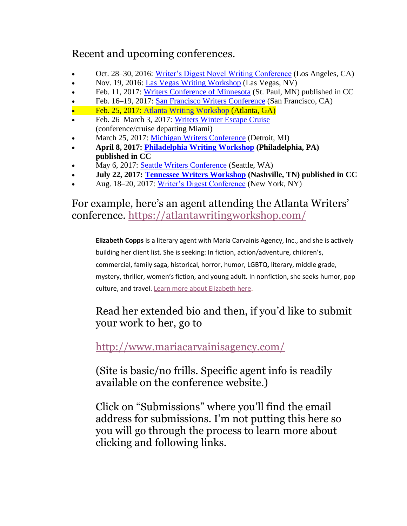# Recent and upcoming conferences.

- Oct. 28–30, 2016: [Writer's Digest Novel Writing Conference](http://novel.writersdigestconference.com/) (Los Angeles, CA)
- Nov. 19, 2016: [Las Vegas Writing Workshop](http://lasvegaswritingworkshop.com/) (Las Vegas, NV)
- Feb. 11, 2017: [Writers Conference of Minnesota](https://minnesotawritingworkshop.com/) (St. Paul, MN) published in CC
- Feb. 16–19, 2017: [San Francisco Writers Conference](https://sfwriters.org/) (San Francisco, CA)
- Feb. 25, 2017: [Atlanta Writing Workshop](https://atlantawritingworkshop.com/) (Atlanta, GA)
- Feb. 26–March 3, 2017: [Writers Winter Escape Cruise](http://www.theseymouragency.com/2017-Winter-Escape.html) (conference/cruise departing Miami)
- March 25, 2017: [Michigan Writers Conference](https://michiganwritingworkshop.com/) (Detroit, MI)
- **April 8, 2017: [Philadelphia Writing Workshop](https://philadelphiawritingworkshop.com/) (Philadelphia, PA) published in CC**
- May 6, 2017: [Seattle Writers Conference](https://theseattlewritingworkshop.com/) (Seattle, WA)
- **July 22, 2017: [Tennessee Writers Workshop](https://tennesseewritingworkshop.com/) (Nashville, TN) published in CC**
- Aug. 18–20, 2017: [Writer's Digest Conference](http://www.writersdigestconference.com/) (New York, NY)

# For example, here's an agent attending the Atlanta Writers' conference. <https://atlantawritingworkshop.com/>

**Elizabeth Copps** is a literary agent with Maria Carvainis Agency, Inc., and she is actively building her client list. She is seeking: In fiction, action/adventure, children's, commercial, family saga, historical, horror, humor, LGBTQ, literary, middle grade, mystery, thriller, women's fiction, and young adult. In nonfiction, she seeks humor, pop culture, and travel. [Learn more about Elizabeth here.](https://atlantawritingworkshop.com/2016/10/10/get-to-know-an-agent-in-attendance-elizabeth-copps-of-maria-carvainis-agency/)

# Read her extended bio and then, if you'd like to submit your work to her, go to

# <http://www.mariacarvainisagency.com/>

(Site is basic/no frills. Specific agent info is readily available on the conference website.)

Click on "Submissions" where you'll find the email address for submissions. I'm not putting this here so you will go through the process to learn more about clicking and following links.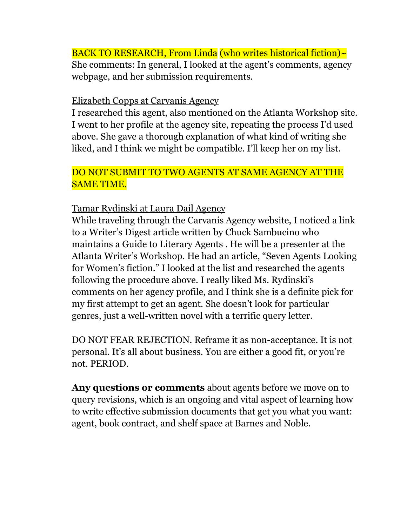BACK TO RESEARCH, From Linda (who writes historical fiction)~ She comments: In general, I looked at the agent's comments, agency webpage, and her submission requirements.

#### Elizabeth Copps at Carvanis Agency

I researched this agent, also mentioned on the Atlanta Workshop site. I went to her profile at the agency site, repeating the process I'd used above. She gave a thorough explanation of what kind of writing she liked, and I think we might be compatible. I'll keep her on my list.

## DO NOT SUBMIT TO TWO AGENTS AT SAME AGENCY AT THE SAME TIME.

#### Tamar Rydinski at Laura Dail Agency

While traveling through the Carvanis Agency website, I noticed a link to a Writer's Digest article written by Chuck Sambucino who maintains a Guide to Literary Agents . He will be a presenter at the Atlanta Writer's Workshop. He had an article, "Seven Agents Looking for Women's fiction." I looked at the list and researched the agents following the procedure above. I really liked Ms. Rydinski's comments on her agency profile, and I think she is a definite pick for my first attempt to get an agent. She doesn't look for particular genres, just a well-written novel with a terrific query letter.

DO NOT FEAR REJECTION. Reframe it as non-acceptance. It is not personal. It's all about business. You are either a good fit, or you're not. PERIOD.

**Any questions or comments** about agents before we move on to query revisions, which is an ongoing and vital aspect of learning how to write effective submission documents that get you what you want: agent, book contract, and shelf space at Barnes and Noble.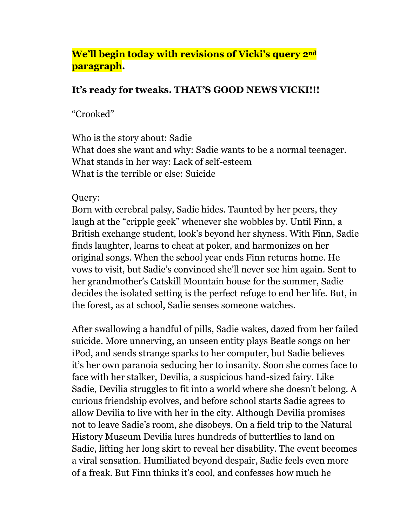## **We'll begin today with revisions of Vicki's query 2nd paragraph.**

#### **It's ready for tweaks. THAT'S GOOD NEWS VICKI!!!**

"Crooked"

Who is the story about: Sadie What does she want and why: Sadie wants to be a normal teenager. What stands in her way: Lack of self-esteem What is the terrible or else: Suicide

Query:

Born with cerebral palsy, Sadie hides. Taunted by her peers, they laugh at the "cripple geek" whenever she wobbles by. Until Finn, a British exchange student, look's beyond her shyness. With Finn, Sadie finds laughter, learns to cheat at poker, and harmonizes on her original songs. When the school year ends Finn returns home. He vows to visit, but Sadie's convinced she'll never see him again. Sent to her grandmother's Catskill Mountain house for the summer, Sadie decides the isolated setting is the perfect refuge to end her life. But, in the forest, as at school, Sadie senses someone watches.

After swallowing a handful of pills, Sadie wakes, dazed from her failed suicide. More unnerving, an unseen entity plays Beatle songs on her iPod, and sends strange sparks to her computer, but Sadie believes it's her own paranoia seducing her to insanity. Soon she comes face to face with her stalker, Devilia, a suspicious hand-sized fairy. Like Sadie, Devilia struggles to fit into a world where she doesn't belong. A curious friendship evolves, and before school starts Sadie agrees to allow Devilia to live with her in the city. Although Devilia promises not to leave Sadie's room, she disobeys. On a field trip to the Natural History Museum Devilia lures hundreds of butterflies to land on Sadie, lifting her long skirt to reveal her disability. The event becomes a viral sensation. Humiliated beyond despair, Sadie feels even more of a freak. But Finn thinks it's cool, and confesses how much he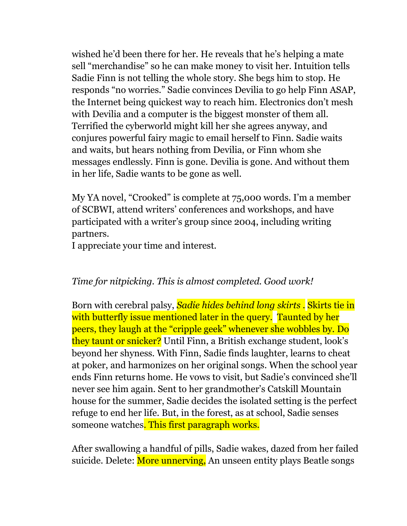wished he'd been there for her. He reveals that he's helping a mate sell "merchandise" so he can make money to visit her. Intuition tells Sadie Finn is not telling the whole story. She begs him to stop. He responds "no worries." Sadie convinces Devilia to go help Finn ASAP, the Internet being quickest way to reach him. Electronics don't mesh with Devilia and a computer is the biggest monster of them all. Terrified the cyberworld might kill her she agrees anyway, and conjures powerful fairy magic to email herself to Finn. Sadie waits and waits, but hears nothing from Devilia, or Finn whom she messages endlessly. Finn is gone. Devilia is gone. And without them in her life, Sadie wants to be gone as well.

My YA novel, "Crooked" is complete at 75,000 words. I'm a member of SCBWI, attend writers' conferences and workshops, and have participated with a writer's group since 2004, including writing partners.

I appreciate your time and interest.

## *Time for nitpicking. This is almost completed. Good work!*

Born with cerebral palsy, *Sadie hides behind long skirts .* Skirts tie in with butterfly issue mentioned later in the query. Taunted by her peers, they laugh at the "cripple geek" whenever she wobbles by. Do they taunt or snicker? Until Finn, a British exchange student, look's beyond her shyness. With Finn, Sadie finds laughter, learns to cheat at poker, and harmonizes on her original songs. When the school year ends Finn returns home. He vows to visit, but Sadie's convinced she'll never see him again. Sent to her grandmother's Catskill Mountain house for the summer, Sadie decides the isolated setting is the perfect refuge to end her life. But, in the forest, as at school, Sadie senses someone watches. This first paragraph works.

After swallowing a handful of pills, Sadie wakes, dazed from her failed suicide. Delete: More unnerving, An unseen entity plays Beatle songs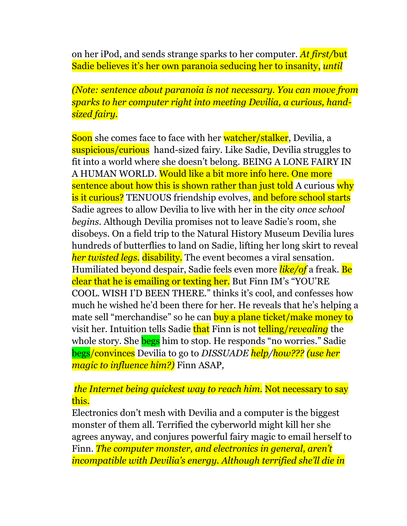on her iPod, and sends strange sparks to her computer. *At first/*but Sadie believes it's her own paranoia seducing her to insanity, *until* 

*(Note: sentence about paranoia is not necessary. You can move from sparks to her computer right into meeting Devilia, a curious, handsized fairy.*

Soon she comes face to face with her watcher/stalker, Devilia, a suspicious/curious hand-sized fairy. Like Sadie, Devilia struggles to fit into a world where she doesn't belong. BEING A LONE FAIRY IN A HUMAN WORLD. Would like a bit more info here. One more sentence about how this is shown rather than just told A curious why is it curious? TENUOUS friendship evolves, and before school starts Sadie agrees to allow Devilia to live with her in the city *once school begins.* Although Devilia promises not to leave Sadie's room, she disobeys. On a field trip to the Natural History Museum Devilia lures hundreds of butterflies to land on Sadie, lifting her long skirt to reveal *her twisted legs.* disability. The event becomes a viral sensation. Humiliated beyond despair, Sadie feels even more *like/of* a freak. Be clear that he is emailing or texting her. But Finn IM's "YOU'RE COOL. WISH I'D BEEN THERE." thinks it's cool, and confesses how much he wished he'd been there for her. He reveals that he's helping a mate sell "merchandise" so he can buy a plane ticket/make money to visit her. Intuition tells Sadie that Finn is not telling/*revealing* the whole story. She **begs** him to stop. He responds "no worries." Sadie begs/convinces Devilia to go to *DISSUADE help/how??? (use her magic to influence him?)* Finn ASAP*,*

#### *the Internet being quickest way to reach him.* Not necessary to say this.

Electronics don't mesh with Devilia and a computer is the biggest monster of them all. Terrified the cyberworld might kill her she agrees anyway, and conjures powerful fairy magic to email herself to Finn. *The computer monster, and electronics in general, aren't incompatible with Devilia's energy. Although terrified she'll die in*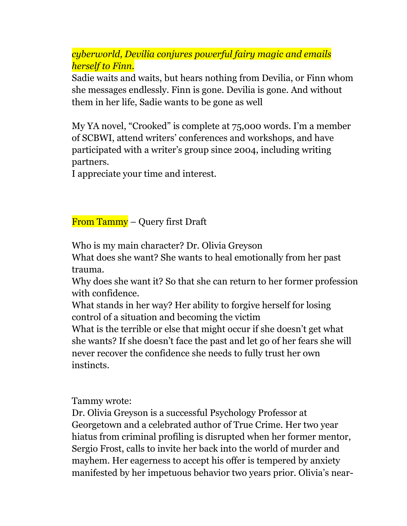*cyberworld, Devilia conjures powerful fairy magic and emails herself to Finn.*

Sadie waits and waits, but hears nothing from Devilia, or Finn whom she messages endlessly. Finn is gone. Devilia is gone. And without them in her life, Sadie wants to be gone as well

My YA novel, "Crooked" is complete at 75,000 words. I'm a member of SCBWI, attend writers' conferences and workshops, and have participated with a writer's group since 2004, including writing partners.

I appreciate your time and interest.

From Tammy – Query first Draft

Who is my main character? Dr. Olivia Greyson

What does she want? She wants to heal emotionally from her past trauma.

Why does she want it? So that she can return to her former profession with confidence.

What stands in her way? Her ability to forgive herself for losing control of a situation and becoming the victim

What is the terrible or else that might occur if she doesn't get what she wants? If she doesn't face the past and let go of her fears she will never recover the confidence she needs to fully trust her own instincts.

Tammy wrote:

Dr. Olivia Greyson is a successful Psychology Professor at Georgetown and a celebrated author of True Crime. Her two year hiatus from criminal profiling is disrupted when her former mentor, Sergio Frost, calls to invite her back into the world of murder and mayhem. Her eagerness to accept his offer is tempered by anxiety manifested by her impetuous behavior two years prior. Olivia's near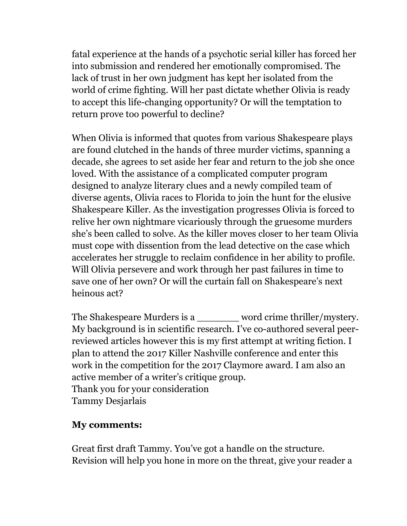fatal experience at the hands of a psychotic serial killer has forced her into submission and rendered her emotionally compromised. The lack of trust in her own judgment has kept her isolated from the world of crime fighting. Will her past dictate whether Olivia is ready to accept this life-changing opportunity? Or will the temptation to return prove too powerful to decline?

When Olivia is informed that quotes from various Shakespeare plays are found clutched in the hands of three murder victims, spanning a decade, she agrees to set aside her fear and return to the job she once loved. With the assistance of a complicated computer program designed to analyze literary clues and a newly compiled team of diverse agents, Olivia races to Florida to join the hunt for the elusive Shakespeare Killer. As the investigation progresses Olivia is forced to relive her own nightmare vicariously through the gruesome murders she's been called to solve. As the killer moves closer to her team Olivia must cope with dissention from the lead detective on the case which accelerates her struggle to reclaim confidence in her ability to profile. Will Olivia persevere and work through her past failures in time to save one of her own? Or will the curtain fall on Shakespeare's next heinous act?

The Shakespeare Murders is a word crime thriller/mystery. My background is in scientific research. I've co-authored several peerreviewed articles however this is my first attempt at writing fiction. I plan to attend the 2017 Killer Nashville conference and enter this work in the competition for the 2017 Claymore award. I am also an active member of a writer's critique group. Thank you for your consideration Tammy Desjarlais

#### **My comments:**

Great first draft Tammy. You've got a handle on the structure. Revision will help you hone in more on the threat, give your reader a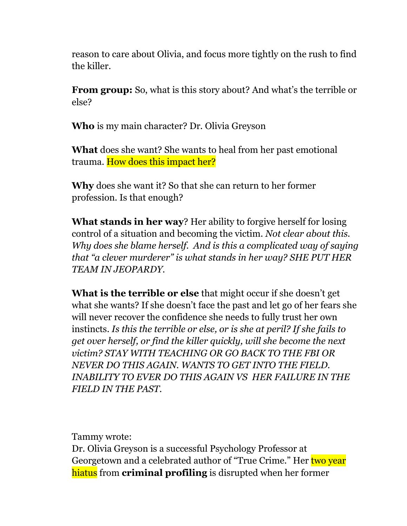reason to care about Olivia, and focus more tightly on the rush to find the killer.

**From group:** So, what is this story about? And what's the terrible or else?

**Who** is my main character? Dr. Olivia Greyson

**What** does she want? She wants to heal from her past emotional trauma. How does this impact her?

**Why** does she want it? So that she can return to her former profession. Is that enough?

**What stands in her way**? Her ability to forgive herself for losing control of a situation and becoming the victim. *Not clear about this. Why does she blame herself. And is this a complicated way of saying that "a clever murderer" is what stands in her way? SHE PUT HER TEAM IN JEOPARDY.* 

**What is the terrible or else** that might occur if she doesn't get what she wants? If she doesn't face the past and let go of her fears she will never recover the confidence she needs to fully trust her own instincts. *Is this the terrible or else, or is she at peril? If she fails to get over herself, or find the killer quickly, will she become the next victim? STAY WITH TEACHING OR GO BACK TO THE FBI OR NEVER DO THIS AGAIN. WANTS TO GET INTO THE FIELD. INABILITY TO EVER DO THIS AGAIN VS HER FAILURE IN THE FIELD IN THE PAST.* 

Tammy wrote:

Dr. Olivia Greyson is a successful Psychology Professor at Georgetown and a celebrated author of "True Crime." Her two year hiatus from **criminal profiling** is disrupted when her former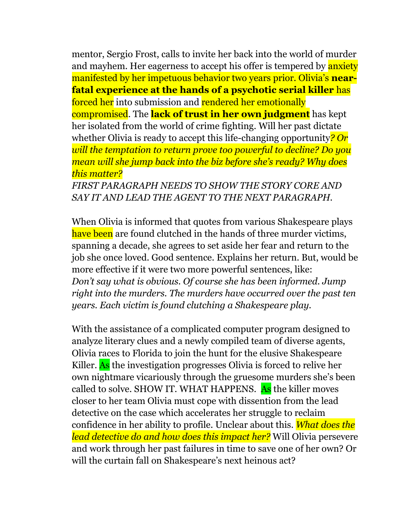mentor, Sergio Frost, calls to invite her back into the world of murder and mayhem. Her eagerness to accept his offer is tempered by **anxiety** manifested by her impetuous behavior two years prior. Olivia's **nearfatal experience at the hands of a psychotic serial killer** has forced her into submission and rendered her emotionally compromised. The **lack of trust in her own judgment** has kept her isolated from the world of crime fighting. Will her past dictate whether Olivia is ready to accept this life-changing opportunity*? Or will the temptation to return prove too powerful to decline? Do you mean will she jump back into the biz before she's ready? Why does this matter?*

*FIRST PARAGRAPH NEEDS TO SHOW THE STORY CORE AND SAY IT AND LEAD THE AGENT TO THE NEXT PARAGRAPH.* 

When Olivia is informed that quotes from various Shakespeare plays have been are found clutched in the hands of three murder victims, spanning a decade, she agrees to set aside her fear and return to the job she once loved. Good sentence. Explains her return. But, would be more effective if it were two more powerful sentences, like: *Don't say what is obvious. Of course she has been informed. Jump right into the murders. The murders have occurred over the past ten years. Each victim is found clutching a Shakespeare play.*

With the assistance of a complicated computer program designed to analyze literary clues and a newly compiled team of diverse agents, Olivia races to Florida to join the hunt for the elusive Shakespeare Killer. As the investigation progresses Olivia is forced to relive her own nightmare vicariously through the gruesome murders she's been called to solve. SHOW IT. WHAT HAPPENS. As the killer moves closer to her team Olivia must cope with dissention from the lead detective on the case which accelerates her struggle to reclaim confidence in her ability to profile. Unclear about this. *What does the lead detective do and how does this impact her?* Will Olivia persevere and work through her past failures in time to save one of her own? Or will the curtain fall on Shakespeare's next heinous act?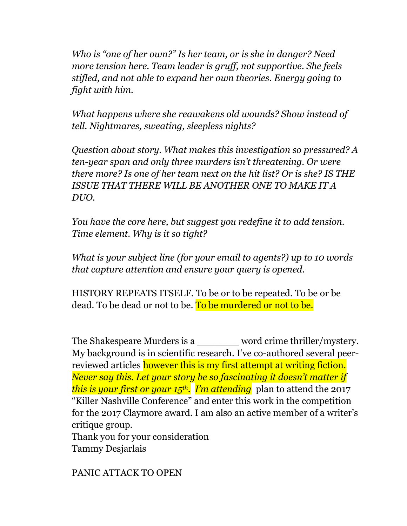*Who is "one of her own?" Is her team, or is she in danger? Need more tension here. Team leader is gruff, not supportive. She feels stifled, and not able to expand her own theories. Energy going to fight with him.* 

*What happens where she reawakens old wounds? Show instead of tell. Nightmares, sweating, sleepless nights?*

*Question about story. What makes this investigation so pressured? A ten-year span and only three murders isn't threatening. Or were there more? Is one of her team next on the hit list? Or is she? IS THE ISSUE THAT THERE WILL BE ANOTHER ONE TO MAKE IT A DUO.* 

*You have the core here, but suggest you redefine it to add tension. Time element. Why is it so tight?* 

*What is your subject line (for your email to agents?) up to 10 words that capture attention and ensure your query is opened.*

HISTORY REPEATS ITSELF. To be or to be repeated. To be or be dead. To be dead or not to be. To be murdered or not to be.

The Shakespeare Murders is a \_\_\_\_\_\_\_ word crime thriller/mystery. My background is in scientific research. I've co-authored several peerreviewed articles however this is my first attempt at writing fiction. *Never say this. Let your story be so fascinating it doesn't matter if this is your first or your 15th. I'm attending* plan to attend the 2017 "Killer Nashville Conference" and enter this work in the competition for the 2017 Claymore award. I am also an active member of a writer's critique group. Thank you for your consideration

Tammy Desjarlais

PANIC ATTACK TO OPEN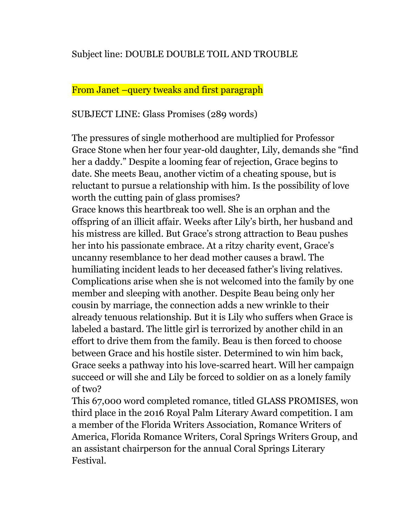## Subject line: DOUBLE DOUBLE TOIL AND TROUBLE

#### From Janet –query tweaks and first paragraph

SUBJECT LINE: Glass Promises (289 words)

The pressures of single motherhood are multiplied for Professor Grace Stone when her four year-old daughter, Lily, demands she "find her a daddy." Despite a looming fear of rejection, Grace begins to date. She meets Beau, another victim of a cheating spouse, but is reluctant to pursue a relationship with him. Is the possibility of love worth the cutting pain of glass promises?

Grace knows this heartbreak too well. She is an orphan and the offspring of an illicit affair. Weeks after Lily's birth, her husband and his mistress are killed. But Grace's strong attraction to Beau pushes her into his passionate embrace. At a ritzy charity event, Grace's uncanny resemblance to her dead mother causes a brawl. The humiliating incident leads to her deceased father's living relatives. Complications arise when she is not welcomed into the family by one member and sleeping with another. Despite Beau being only her cousin by marriage, the connection adds a new wrinkle to their already tenuous relationship. But it is Lily who suffers when Grace is labeled a bastard. The little girl is terrorized by another child in an effort to drive them from the family. Beau is then forced to choose between Grace and his hostile sister. Determined to win him back, Grace seeks a pathway into his love-scarred heart. Will her campaign succeed or will she and Lily be forced to soldier on as a lonely family of two?

This 67,000 word completed romance, titled GLASS PROMISES, won third place in the 2016 Royal Palm Literary Award competition. I am a member of the Florida Writers Association, Romance Writers of America, Florida Romance Writers, Coral Springs Writers Group, and an assistant chairperson for the annual Coral Springs Literary Festival.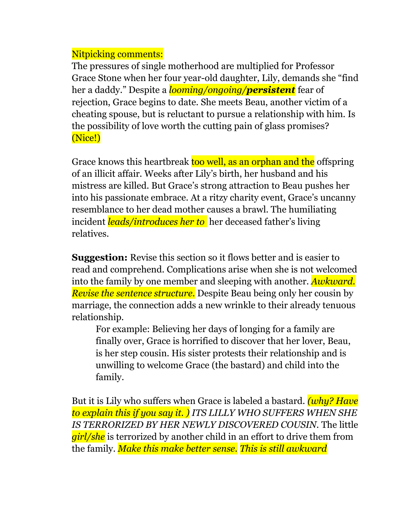## Nitpicking comments:

The pressures of single motherhood are multiplied for Professor Grace Stone when her four year-old daughter, Lily, demands she "find her a daddy." Despite a *looming/ongoing/persistent* fear of rejection, Grace begins to date. She meets Beau, another victim of a cheating spouse, but is reluctant to pursue a relationship with him. Is the possibility of love worth the cutting pain of glass promises? (Nice!)

Grace knows this heartbreak too well, as an orphan and the offspring of an illicit affair. Weeks after Lily's birth, her husband and his mistress are killed. But Grace's strong attraction to Beau pushes her into his passionate embrace. At a ritzy charity event, Grace's uncanny resemblance to her dead mother causes a brawl. The humiliating incident *leads/introduces her to* her deceased father's living relatives.

**Suggestion:** Revise this section so it flows better and is easier to read and comprehend. Complications arise when she is not welcomed into the family by one member and sleeping with another. *Awkward. Revise the sentence structure.* Despite Beau being only her cousin by marriage, the connection adds a new wrinkle to their already tenuous relationship.

For example: Believing her days of longing for a family are finally over, Grace is horrified to discover that her lover, Beau, is her step cousin. His sister protests their relationship and is unwilling to welcome Grace (the bastard) and child into the family.

But it is Lily who suffers when Grace is labeled a bastard. *(why? Have to explain this if you say it. ) ITS LILLY WHO SUFFERS WHEN SHE IS TERRORIZED BY HER NEWLY DISCOVERED COUSIN.* The little *girl/she* is terrorized by another child in an effort to drive them from the family. *Make this make better sense. This is still awkward*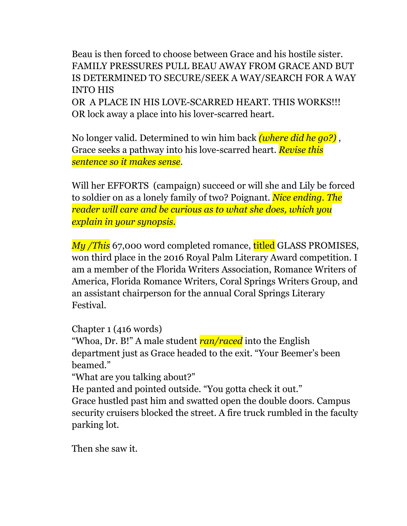Beau is then forced to choose between Grace and his hostile sister. FAMILY PRESSURES PULL BEAU AWAY FROM GRACE AND BUT IS DETERMINED TO SECURE/SEEK A WAY/SEARCH FOR A WAY INTO HIS OR A PLACE IN HIS LOVE-SCARRED HEART. THIS WORKS!!! OR lock away a place into his lover-scarred heart.

No longer valid. Determined to win him back *(where did he go?)* , Grace seeks a pathway into his love-scarred heart. *Revise this sentence so it makes sense.*

Will her EFFORTS (campaign) succeed or will she and Lily be forced to soldier on as a lonely family of two? Poignant. *Nice ending. The reader will care and be curious as to what she does, which you explain in your synopsis.*

*My /This* 67,000 word completed romance, titled GLASS PROMISES, won third place in the 2016 Royal Palm Literary Award competition. I am a member of the Florida Writers Association, Romance Writers of America, Florida Romance Writers, Coral Springs Writers Group, and an assistant chairperson for the annual Coral Springs Literary Festival.

Chapter 1 (416 words)

"Whoa, Dr. B!" A male student *ran/raced* into the English department just as Grace headed to the exit. "Your Beemer's been beamed."

"What are you talking about?"

He panted and pointed outside. "You gotta check it out."

Grace hustled past him and swatted open the double doors. Campus security cruisers blocked the street. A fire truck rumbled in the faculty parking lot.

Then she saw it.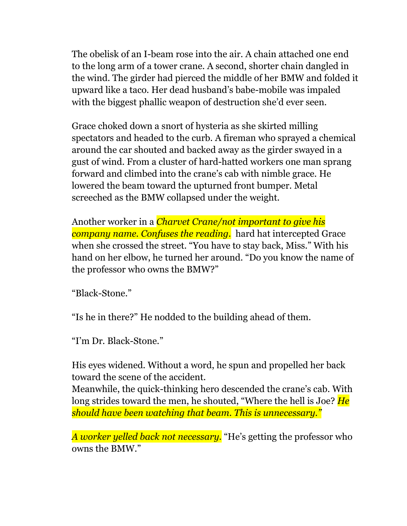The obelisk of an I-beam rose into the air. A chain attached one end to the long arm of a tower crane. A second, shorter chain dangled in the wind. The girder had pierced the middle of her BMW and folded it upward like a taco. Her dead husband's babe-mobile was impaled with the biggest phallic weapon of destruction she'd ever seen.

Grace choked down a snort of hysteria as she skirted milling spectators and headed to the curb. A fireman who sprayed a chemical around the car shouted and backed away as the girder swayed in a gust of wind. From a cluster of hard-hatted workers one man sprang forward and climbed into the crane's cab with nimble grace. He lowered the beam toward the upturned front bumper. Metal screeched as the BMW collapsed under the weight.

Another worker in a *Charvet Crane/not important to give his company name. Confuses the reading.* hard hat intercepted Grace when she crossed the street. "You have to stay back, Miss." With his hand on her elbow, he turned her around. "Do you know the name of the professor who owns the BMW?"

"Black-Stone."

"Is he in there?" He nodded to the building ahead of them.

"I'm Dr. Black-Stone."

His eyes widened. Without a word, he spun and propelled her back toward the scene of the accident.

Meanwhile, the quick-thinking hero descended the crane's cab. With long strides toward the men, he shouted, "Where the hell is Joe? *He should have been watching that beam. This is unnecessary."*

*A worker yelled back not necessary.* "He's getting the professor who owns the BMW."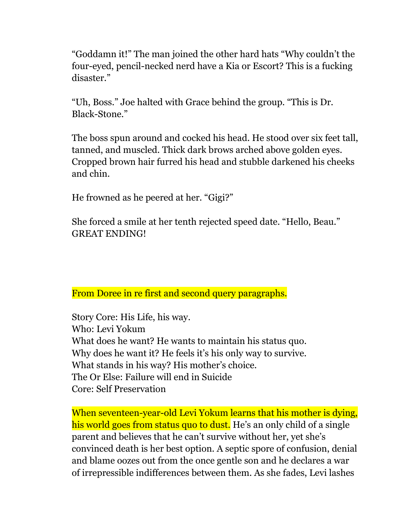"Goddamn it!" The man joined the other hard hats "Why couldn't the four-eyed, pencil-necked nerd have a Kia or Escort? This is a fucking disaster."

"Uh, Boss." Joe halted with Grace behind the group. "This is Dr. Black-Stone."

The boss spun around and cocked his head. He stood over six feet tall, tanned, and muscled. Thick dark brows arched above golden eyes. Cropped brown hair furred his head and stubble darkened his cheeks and chin.

He frowned as he peered at her. "Gigi?"

She forced a smile at her tenth rejected speed date. "Hello, Beau." GREAT ENDING!

From Doree in re first and second query paragraphs.

Story Core: His Life, his way. Who: Levi Yokum What does he want? He wants to maintain his status quo. Why does he want it? He feels it's his only way to survive. What stands in his way? His mother's choice. The Or Else: Failure will end in Suicide Core: Self Preservation

When seventeen-year-old Levi Yokum learns that his mother is dying, his world goes from status quo to dust. He's an only child of a single parent and believes that he can't survive without her, yet she's convinced death is her best option. A septic spore of confusion, denial and blame oozes out from the once gentle son and he declares a war of irrepressible indifferences between them. As she fades, Levi lashes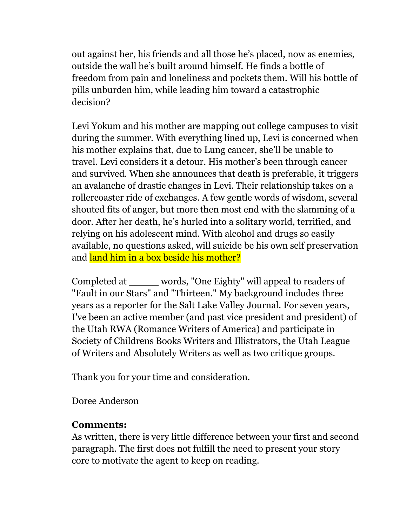out against her, his friends and all those he's placed, now as enemies, outside the wall he's built around himself. He finds a bottle of freedom from pain and loneliness and pockets them. Will his bottle of pills unburden him, while leading him toward a catastrophic decision?

Levi Yokum and his mother are mapping out college campuses to visit during the summer. With everything lined up, Levi is concerned when his mother explains that, due to Lung cancer, she'll be unable to travel. Levi considers it a detour. His mother's been through cancer and survived. When she announces that death is preferable, it triggers an avalanche of drastic changes in Levi. Their relationship takes on a rollercoaster ride of exchanges. A few gentle words of wisdom, several shouted fits of anger, but more then most end with the slamming of a door. After her death, he's hurled into a solitary world, terrified, and relying on his adolescent mind. With alcohol and drugs so easily available, no questions asked, will suicide be his own self preservation and land him in a box beside his mother?

Completed at words, "One Eighty" will appeal to readers of "Fault in our Stars" and "Thirteen." My background includes three years as a reporter for the Salt Lake Valley Journal. For seven years, I've been an active member (and past vice president and president) of the Utah RWA (Romance Writers of America) and participate in Society of Childrens Books Writers and Illistrators, the Utah League of Writers and Absolutely Writers as well as two critique groups.

Thank you for your time and consideration.

Doree Anderson

#### **Comments:**

As written, there is very little difference between your first and second paragraph. The first does not fulfill the need to present your story core to motivate the agent to keep on reading.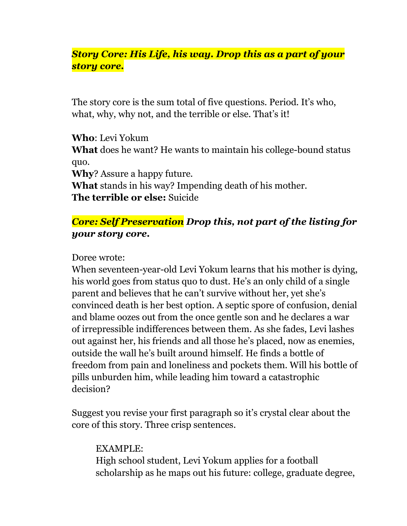## *Story Core: His Life, his way. Drop this as a part of your story core.*

The story core is the sum total of five questions. Period. It's who, what, why, why not, and the terrible or else. That's it!

**Who**: Levi Yokum **What** does he want? He wants to maintain his college-bound status quo. **Why**? Assure a happy future. **What** stands in his way? Impending death of his mother.

**The terrible or else:** Suicide

## *Core: Self Preservation Drop this, not part of the listing for your story core.*

Doree wrote:

When seventeen-year-old Levi Yokum learns that his mother is dying, his world goes from status quo to dust. He's an only child of a single parent and believes that he can't survive without her, yet she's convinced death is her best option. A septic spore of confusion, denial and blame oozes out from the once gentle son and he declares a war of irrepressible indifferences between them. As she fades, Levi lashes out against her, his friends and all those he's placed, now as enemies, outside the wall he's built around himself. He finds a bottle of freedom from pain and loneliness and pockets them. Will his bottle of pills unburden him, while leading him toward a catastrophic decision?

Suggest you revise your first paragraph so it's crystal clear about the core of this story. Three crisp sentences.

EXAMPLE: High school student, Levi Yokum applies for a football scholarship as he maps out his future: college, graduate degree,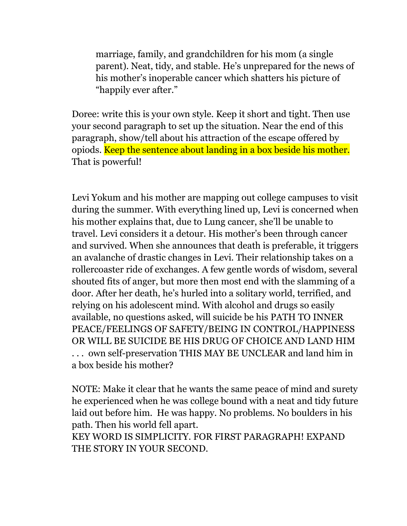marriage, family, and grandchildren for his mom (a single parent). Neat, tidy, and stable. He's unprepared for the news of his mother's inoperable cancer which shatters his picture of "happily ever after."

Doree: write this is your own style. Keep it short and tight. Then use your second paragraph to set up the situation. Near the end of this paragraph, show/tell about his attraction of the escape offered by opiods. Keep the sentence about landing in a box beside his mother. That is powerful!

Levi Yokum and his mother are mapping out college campuses to visit during the summer. With everything lined up, Levi is concerned when his mother explains that, due to Lung cancer, she'll be unable to travel. Levi considers it a detour. His mother's been through cancer and survived. When she announces that death is preferable, it triggers an avalanche of drastic changes in Levi. Their relationship takes on a rollercoaster ride of exchanges. A few gentle words of wisdom, several shouted fits of anger, but more then most end with the slamming of a door. After her death, he's hurled into a solitary world, terrified, and relying on his adolescent mind. With alcohol and drugs so easily available, no questions asked, will suicide be his PATH TO INNER PEACE/FEELINGS OF SAFETY/BEING IN CONTROL/HAPPINESS OR WILL BE SUICIDE BE HIS DRUG OF CHOICE AND LAND HIM . . . own self-preservation THIS MAY BE UNCLEAR and land him in a box beside his mother?

NOTE: Make it clear that he wants the same peace of mind and surety he experienced when he was college bound with a neat and tidy future laid out before him. He was happy. No problems. No boulders in his path. Then his world fell apart.

KEY WORD IS SIMPLICITY. FOR FIRST PARAGRAPH! EXPAND THE STORY IN YOUR SECOND.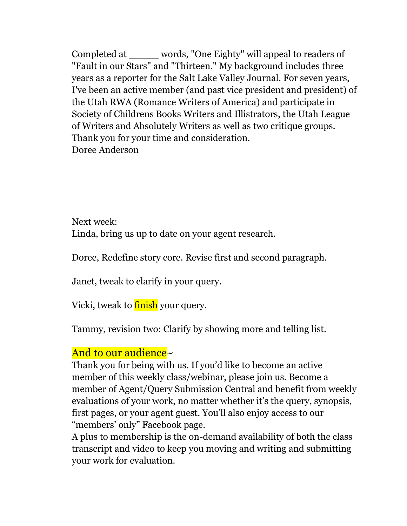Completed at \_\_\_\_\_ words, "One Eighty" will appeal to readers of "Fault in our Stars" and "Thirteen." My background includes three years as a reporter for the Salt Lake Valley Journal. For seven years, I've been an active member (and past vice president and president) of the Utah RWA (Romance Writers of America) and participate in Society of Childrens Books Writers and Illistrators, the Utah League of Writers and Absolutely Writers as well as two critique groups. Thank you for your time and consideration. Doree Anderson

Next week: Linda, bring us up to date on your agent research.

Doree, Redefine story core. Revise first and second paragraph.

Janet, tweak to clarify in your query.

Vicki, tweak to **finish** your query.

Tammy, revision two: Clarify by showing more and telling list.

# And to our audience~

Thank you for being with us. If you'd like to become an active member of this weekly class/webinar, please join us. Become a member of Agent/Query Submission Central and benefit from weekly evaluations of your work, no matter whether it's the query, synopsis, first pages, or your agent guest. You'll also enjoy access to our "members' only" Facebook page.

A plus to membership is the on-demand availability of both the class transcript and video to keep you moving and writing and submitting your work for evaluation.